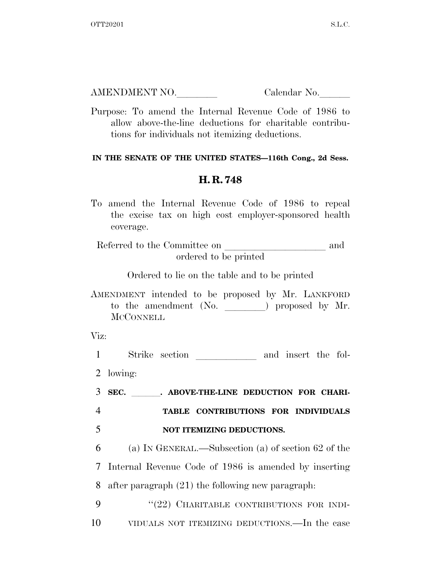| AMENDMENT NO. | Calendar No. |
|---------------|--------------|
|               |              |

Purpose: To amend the Internal Revenue Code of 1986 to allow above-the-line deductions for charitable contributions for individuals not itemizing deductions.

## **IN THE SENATE OF THE UNITED STATES—116th Cong., 2d Sess.**

## **H. R. 748**

To amend the Internal Revenue Code of 1986 to repeal the excise tax on high cost employer-sponsored health coverage.

Referred to the Committee on **leave and** and ordered to be printed

Ordered to lie on the table and to be printed

AMENDMENT intended to be proposed by Mr. LANKFORD to the amendment  $(No.$   $)$  proposed by Mr. **MCCONNELL** 

Viz:

1 Strike section \_\_\_\_\_\_\_\_\_\_\_\_ and insert the fol-2 lowing: 3 SEC. **. ABOVE-THE-LINE DEDUCTION FOR CHARI-**4 **TABLE CONTRIBUTIONS FOR INDIVIDUALS**  5 **NOT ITEMIZING DEDUCTIONS.**  6 (a) IN GENERAL.—Subsection (a) of section 62 of the 7 Internal Revenue Code of 1986 is amended by inserting 8 after paragraph (21) the following new paragraph: 9 "(22) CHARITABLE CONTRIBUTIONS FOR INDI-10 VIDUALS NOT ITEMIZING DEDUCTIONS.—In the case